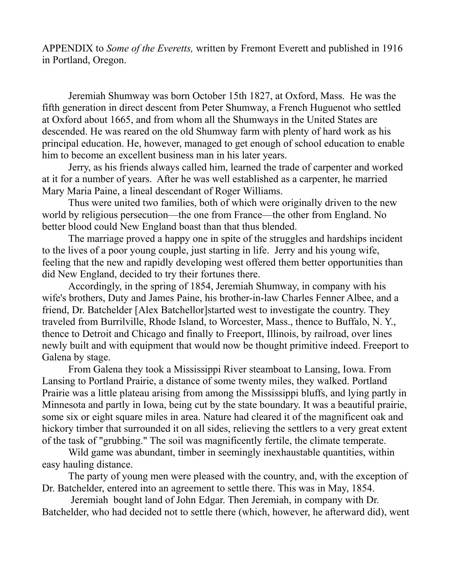APPENDIX to *Some of the Everetts,* written by Fremont Everett and published in 1916 in Portland, Oregon.

Jeremiah Shumway was born October 15th 1827, at Oxford, Mass. He was the fifth generation in direct descent from Peter Shumway, a French Huguenot who settled at Oxford about 1665, and from whom all the Shumways in the United States are descended. He was reared on the old Shumway farm with plenty of hard work as his principal education. He, however, managed to get enough of school education to enable him to become an excellent business man in his later years.

Jerry, as his friends always called him, learned the trade of carpenter and worked at it for a number of years. After he was well established as a carpenter, he married Mary Maria Paine, a lineal descendant of Roger Williams.

Thus were united two families, both of which were originally driven to the new world by religious persecution—the one from France—the other from England. No better blood could New England boast than that thus blended.

The marriage proved a happy one in spite of the struggles and hardships incident to the lives of a poor young couple, just starting in life. Jerry and his young wife, feeling that the new and rapidly developing west offered them better opportunities than did New England, decided to try their fortunes there.

Accordingly, in the spring of 1854, Jeremiah Shumway, in company with his wife's brothers, Duty and James Paine, his brother-in-law Charles Fenner Albee, and a friend, Dr. Batchelder [Alex Batchellor]started west to investigate the country. They traveled from Burrilville, Rhode Island, to Worcester, Mass., thence to Buffalo, N. Y., thence to Detroit and Chicago and finally to Freeport, Illinois, by railroad, over lines newly built and with equipment that would now be thought primitive indeed. Freeport to Galena by stage.

From Galena they took a Mississippi River steamboat to Lansing, Iowa. From Lansing to Portland Prairie, a distance of some twenty miles, they walked. Portland Prairie was a little plateau arising from among the Mississippi bluffs, and lying partly in Minnesota and partly in Iowa, being cut by the state boundary. It was a beautiful prairie, some six or eight square miles in area. Nature had cleared it of the magnificent oak and hickory timber that surrounded it on all sides, relieving the settlers to a very great extent of the task of "grubbing." The soil was magnificently fertile, the climate temperate.

Wild game was abundant, timber in seemingly inexhaustable quantities, within easy hauling distance.

The party of young men were pleased with the country, and, with the exception of Dr. Batchelder, entered into an agreement to settle there. This was in May, 1854.

 Jeremiah bought land of John Edgar. Then Jeremiah, in company with Dr. Batchelder, who had decided not to settle there (which, however, he afterward did), went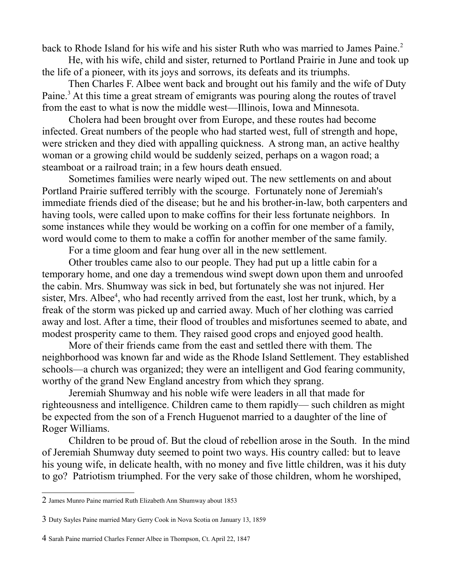back to Rhode Island for his wife and his sister Ruth who was married to James Paine.<sup>[2](#page-1-0)</sup>

He, with his wife, child and sister, returned to Portland Prairie in June and took up the life of a pioneer, with its joys and sorrows, its defeats and its triumphs.

Then Charles F. Albee went back and brought out his family and the wife of Duty Paine.<sup>[3](#page-1-1)</sup> At this time a great stream of emigrants was pouring along the routes of travel from the east to what is now the middle west—Illinois, Iowa and Minnesota.

Cholera had been brought over from Europe, and these routes had become infected. Great numbers of the people who had started west, full of strength and hope, were stricken and they died with appalling quickness. A strong man, an active healthy woman or a growing child would be suddenly seized, perhaps on a wagon road; a steamboat or a railroad train; in a few hours death ensued.

Sometimes families were nearly wiped out. The new settlements on and about Portland Prairie suffered terribly with the scourge. Fortunately none of Jeremiah's immediate friends died of the disease; but he and his brother-in-law, both carpenters and having tools, were called upon to make coffins for their less fortunate neighbors. In some instances while they would be working on a coffin for one member of a family, word would come to them to make a coffin for another member of the same family.

For a time gloom and fear hung over all in the new settlement.

Other troubles came also to our people. They had put up a little cabin for a temporary home, and one day a tremendous wind swept down upon them and unroofed the cabin. Mrs. Shumway was sick in bed, but fortunately she was not injured. Her sister, Mrs. Albee<sup>[4](#page-1-2)</sup>, who had recently arrived from the east, lost her trunk, which, by a freak of the storm was picked up and carried away. Much of her clothing was carried away and lost. After a time, their flood of troubles and misfortunes seemed to abate, and modest prosperity came to them. They raised good crops and enjoyed good health.

More of their friends came from the east and settled there with them. The neighborhood was known far and wide as the Rhode Island Settlement. They established schools—a church was organized; they were an intelligent and God fearing community, worthy of the grand New England ancestry from which they sprang.

Jeremiah Shumway and his noble wife were leaders in all that made for righteousness and intelligence. Children came to them rapidly— such children as might be expected from the son of a French Huguenot married to a daughter of the line of Roger Williams.

Children to be proud of. But the cloud of rebellion arose in the South. In the mind of Jeremiah Shumway duty seemed to point two ways. His country called: but to leave his young wife, in delicate health, with no money and five little children, was it his duty to go? Patriotism triumphed. For the very sake of those children, whom he worshiped,

<span id="page-1-0"></span><sup>2</sup> James Munro Paine married Ruth Elizabeth Ann Shumway about 1853

<span id="page-1-1"></span><sup>3</sup> Duty Sayles Paine married Mary Gerry Cook in Nova Scotia on January 13, 1859

<span id="page-1-2"></span><sup>4</sup> Sarah Paine married Charles Fenner Albee in Thompson, Ct. April 22, 1847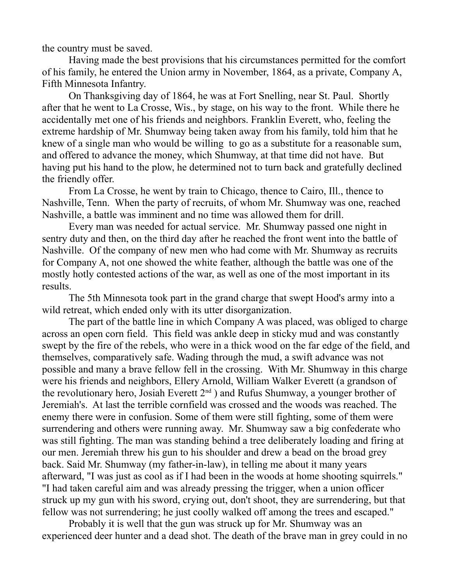the country must be saved.

Having made the best provisions that his circumstances permitted for the comfort of his family, he entered the Union army in November, 1864, as a private, Company A, Fifth Minnesota Infantry.

On Thanksgiving day of 1864, he was at Fort Snelling, near St. Paul. Shortly after that he went to La Crosse, Wis., by stage, on his way to the front. While there he accidentally met one of his friends and neighbors. Franklin Everett, who, feeling the extreme hardship of Mr. Shumway being taken away from his family, told him that he knew of a single man who would be willing to go as a substitute for a reasonable sum, and offered to advance the money, which Shumway, at that time did not have. But having put his hand to the plow, he determined not to turn back and gratefully declined the friendly offer.

From La Crosse, he went by train to Chicago, thence to Cairo, Ill., thence to Nashville, Tenn. When the party of recruits, of whom Mr. Shumway was one, reached Nashville, a battle was imminent and no time was allowed them for drill.

Every man was needed for actual service. Mr. Shumway passed one night in sentry duty and then, on the third day after he reached the front went into the battle of Nashville. Of the company of new men who had come with Mr. Shumway as recruits for Company A, not one showed the white feather, although the battle was one of the mostly hotly contested actions of the war, as well as one of the most important in its results.

The 5th Minnesota took part in the grand charge that swept Hood's army into a wild retreat, which ended only with its utter disorganization.

The part of the battle line in which Company A was placed, was obliged to charge across an open corn field. This field was ankle deep in sticky mud and was constantly swept by the fire of the rebels, who were in a thick wood on the far edge of the field, and themselves, comparatively safe. Wading through the mud, a swift advance was not possible and many a brave fellow fell in the crossing. With Mr. Shumway in this charge were his friends and neighbors, Ellery Arnold, William Walker Everett (a grandson of the revolutionary hero, Josiah Everett 2<sup>nd</sup> ) and Rufus Shumway, a younger brother of Jeremiah's. At last the terrible cornfield was crossed and the woods was reached. The enemy there were in confusion. Some of them were still fighting, some of them were surrendering and others were running away. Mr. Shumway saw a big confederate who was still fighting. The man was standing behind a tree deliberately loading and firing at our men. Jeremiah threw his gun to his shoulder and drew a bead on the broad grey back. Said Mr. Shumway (my father-in-law), in telling me about it many years afterward, "I was just as cool as if I had been in the woods at home shooting squirrels." "I had taken careful aim and was already pressing the trigger, when a union officer struck up my gun with his sword, crying out, don't shoot, they are surrendering, but that fellow was not surrendering; he just coolly walked off among the trees and escaped."

Probably it is well that the gun was struck up for Mr. Shumway was an experienced deer hunter and a dead shot. The death of the brave man in grey could in no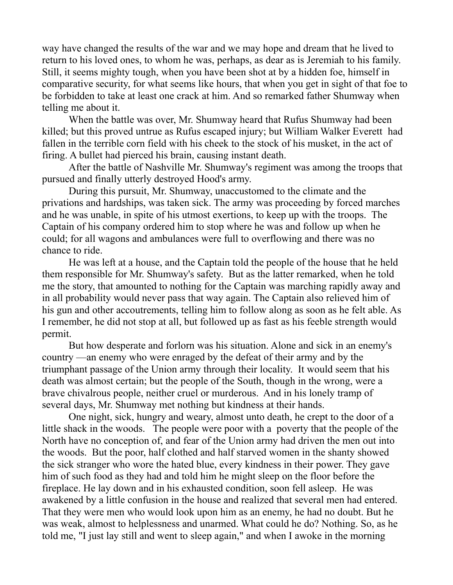way have changed the results of the war and we may hope and dream that he lived to return to his loved ones, to whom he was, perhaps, as dear as is Jeremiah to his family. Still, it seems mighty tough, when you have been shot at by a hidden foe, himself in comparative security, for what seems like hours, that when you get in sight of that foe to be forbidden to take at least one crack at him. And so remarked father Shumway when telling me about it.

When the battle was over, Mr. Shumway heard that Rufus Shumway had been killed; but this proved untrue as Rufus escaped injury; but William Walker Everett had fallen in the terrible corn field with his cheek to the stock of his musket, in the act of firing. A bullet had pierced his brain, causing instant death.

After the battle of Nashville Mr. Shumway's regiment was among the troops that pursued and finally utterly destroyed Hood's army.

During this pursuit, Mr. Shumway, unaccustomed to the climate and the privations and hardships, was taken sick. The army was proceeding by forced marches and he was unable, in spite of his utmost exertions, to keep up with the troops. The Captain of his company ordered him to stop where he was and follow up when he could; for all wagons and ambulances were full to overflowing and there was no chance to ride.

He was left at a house, and the Captain told the people of the house that he held them responsible for Mr. Shumway's safety. But as the latter remarked, when he told me the story, that amounted to nothing for the Captain was marching rapidly away and in all probability would never pass that way again. The Captain also relieved him of his gun and other accoutrements, telling him to follow along as soon as he felt able. As I remember, he did not stop at all, but followed up as fast as his feeble strength would permit.

But how desperate and forlorn was his situation. Alone and sick in an enemy's country —an enemy who were enraged by the defeat of their army and by the triumphant passage of the Union army through their locality. It would seem that his death was almost certain; but the people of the South, though in the wrong, were a brave chivalrous people, neither cruel or murderous. And in his lonely tramp of several days, Mr. Shumway met nothing but kindness at their hands.

One night, sick, hungry and weary, almost unto death, he crept to the door of a little shack in the woods. The people were poor with a poverty that the people of the North have no conception of, and fear of the Union army had driven the men out into the woods. But the poor, half clothed and half starved women in the shanty showed the sick stranger who wore the hated blue, every kindness in their power. They gave him of such food as they had and told him he might sleep on the floor before the fireplace. He lay down and in his exhausted condition, soon fell asleep. He was awakened by a little confusion in the house and realized that several men had entered. That they were men who would look upon him as an enemy, he had no doubt. But he was weak, almost to helplessness and unarmed. What could he do? Nothing. So, as he told me, "I just lay still and went to sleep again," and when I awoke in the morning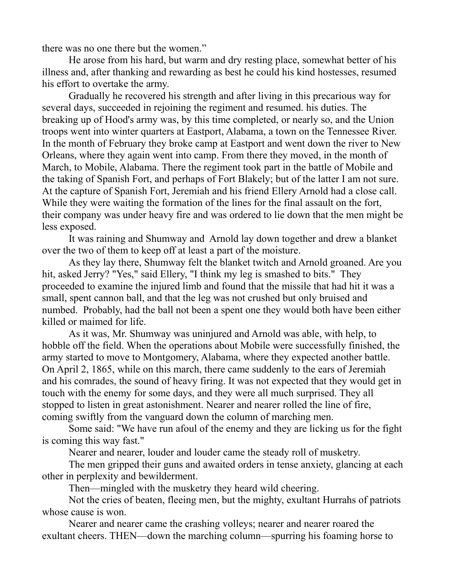there was no one there but the women."

He arose from his hard, but warm and dry resting place, somewhat better of his illness and, after thanking and rewarding as best he could his kind hostesses, resumed his effort to overtake the army.

Gradually he recovered his strength and after living in this precarious way for several days, succeeded in rejoining the regiment and resumed. his duties. The breaking up of Hood's army was, by this time completed, or nearly so, and the Union troops went into winter quarters at Eastport, Alabama, a town on the Tennessee River. In the month of February they broke camp at Eastport and went down the river to New Orleans, where they again went into camp. From there they moved, in the month of March, to Mobile, Alabama. There the regiment took part in the battle of Mobile and the taking of Spanish Fort, and perhaps of Fort Blakely; but of the latter I am not sure. At the capture of Spanish Fort, Jeremiah and his friend Ellery Arnold had a close call. While they were waiting the formation of the lines for the final assault on the fort, their company was under heavy fire and was ordered to lie down that the men might be less exposed.

It was raining and Shumway and Arnold lay down together and drew a blanket over the two of them to keep off at least a part of the moisture.

As they lay there, Shumway felt the blanket twitch and Arnold groaned. Are you hit, asked Jerry? "Yes," said Ellery, "I think my leg is smashed to bits." They proceeded to examine the injured limb and found that the missile that had hit it was a small, spent cannon ball, and that the leg was not crushed but only bruised and numbed. Probably, had the ball not been a spent one they would both have been either killed or maimed for life.

As it was, Mr. Shumway was uninjured and Arnold was able, with help, to hobble off the field. When the operations about Mobile were successfully finished, the army started to move to Montgomery, Alabama, where they expected another battle. On April 2, 1865, while on this march, there came suddenly to the ears of Jeremiah and his comrades, the sound of heavy firing. It was not expected that they would get in touch with the enemy for some days, and they were all much surprised. They all stopped to listen in great astonishment. Nearer and nearer rolled the line of fire, coming swiftly from the vanguard down the column of marching men.

Some said: "We have run afoul of the enemy and they are licking us for the fight is coming this way fast."

Nearer and nearer, louder and louder came the steady roll of musketry.

The men gripped their guns and awaited orders in tense anxiety, glancing at each other in perplexity and bewilderment.

Then—mingled with the musketry they heard wild cheering.

Not the cries of beaten, fleeing men, but the mighty, exultant Hurrahs of patriots whose cause is won.

Nearer and nearer came the crashing volleys; nearer and nearer roared the exultant cheers. THEN—down the marching column—spurring his foaming horse to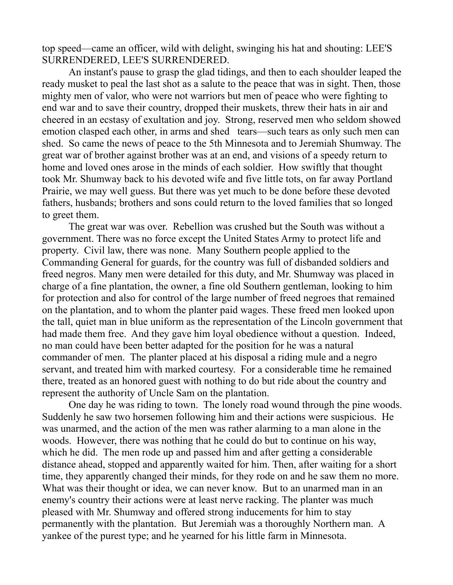top speed—came an officer, wild with delight, swinging his hat and shouting: LEE'S SURRENDERED, LEE'S SURRENDERED.

An instant's pause to grasp the glad tidings, and then to each shoulder leaped the ready musket to peal the last shot as a salute to the peace that was in sight. Then, those mighty men of valor, who were not warriors but men of peace who were fighting to end war and to save their country, dropped their muskets, threw their hats in air and cheered in an ecstasy of exultation and joy. Strong, reserved men who seldom showed emotion clasped each other, in arms and shed tears—such tears as only such men can shed. So came the news of peace to the 5th Minnesota and to Jeremiah Shumway. The great war of brother against brother was at an end, and visions of a speedy return to home and loved ones arose in the minds of each soldier. How swiftly that thought took Mr. Shumway back to his devoted wife and five little tots, on far away Portland Prairie, we may well guess. But there was yet much to be done before these devoted fathers, husbands; brothers and sons could return to the loved families that so longed to greet them.

The great war was over. Rebellion was crushed but the South was without a government. There was no force except the United States Army to protect life and property. Civil law, there was none. Many Southern people applied to the Commanding General for guards, for the country was full of disbanded soldiers and freed negros. Many men were detailed for this duty, and Mr. Shumway was placed in charge of a fine plantation, the owner, a fine old Southern gentleman, looking to him for protection and also for control of the large number of freed negroes that remained on the plantation, and to whom the planter paid wages. These freed men looked upon the tall, quiet man in blue uniform as the representation of the Lincoln government that had made them free. And they gave him loyal obedience without a question. Indeed, no man could have been better adapted for the position for he was a natural commander of men. The planter placed at his disposal a riding mule and a negro servant, and treated him with marked courtesy. For a considerable time he remained there, treated as an honored guest with nothing to do but ride about the country and represent the authority of Uncle Sam on the plantation.

One day he was riding to town. The lonely road wound through the pine woods. Suddenly he saw two horsemen following him and their actions were suspicious. He was unarmed, and the action of the men was rather alarming to a man alone in the woods. However, there was nothing that he could do but to continue on his way, which he did. The men rode up and passed him and after getting a considerable distance ahead, stopped and apparently waited for him. Then, after waiting for a short time, they apparently changed their minds, for they rode on and he saw them no more. What was their thought or idea, we can never know. But to an unarmed man in an enemy's country their actions were at least nerve racking. The planter was much pleased with Mr. Shumway and offered strong inducements for him to stay permanently with the plantation. But Jeremiah was a thoroughly Northern man. A yankee of the purest type; and he yearned for his little farm in Minnesota.